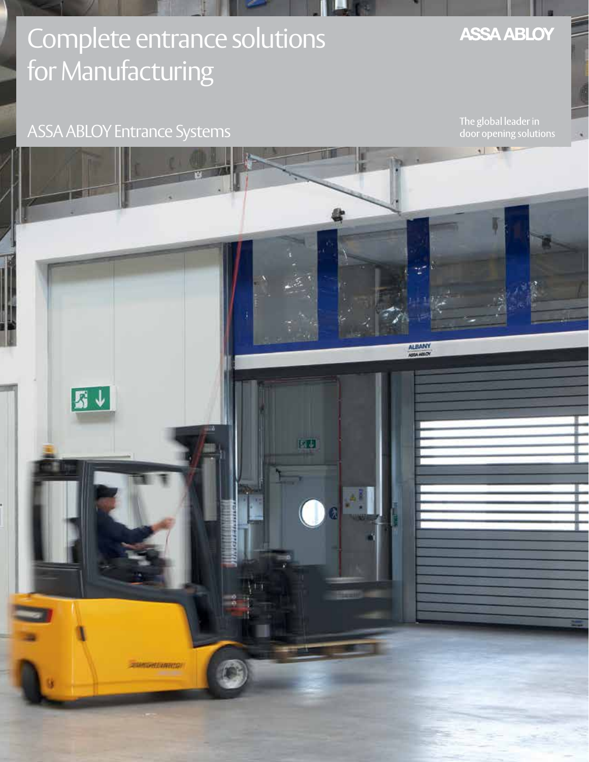# Complete entrance solutions for Manufacturing

### ASSA ABLOY Entrance Systems

The global leader in door opening solutions

**ASSA ABLOY** 

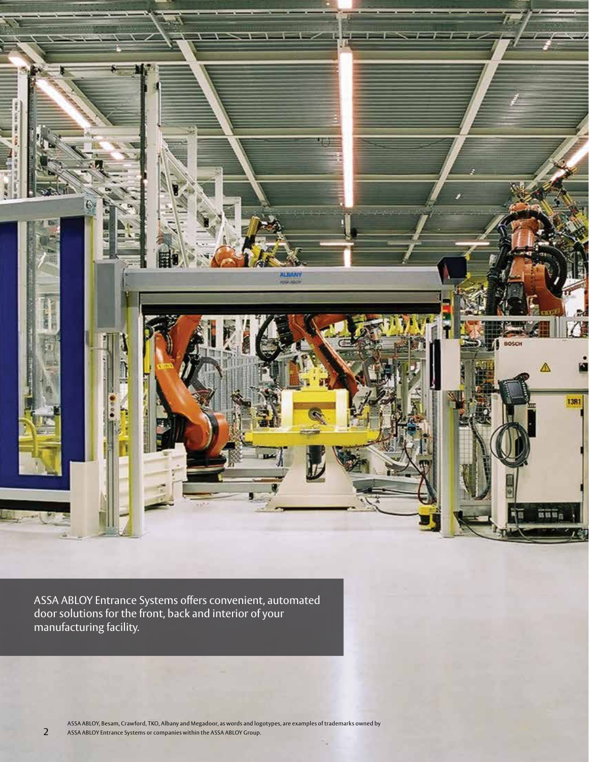

ASSA ABLOY Entrance Systems offers convenient, automated door solutions for the front, back and interior of your manufacturing facility.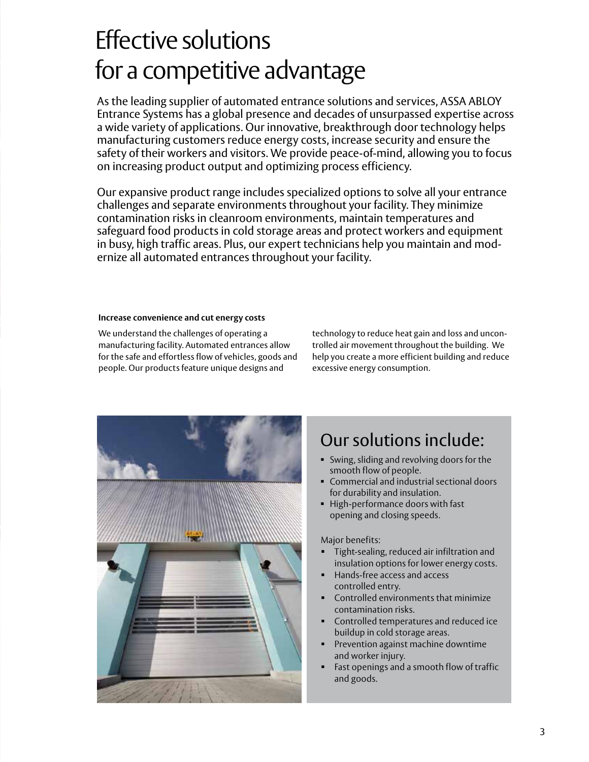### Effective solutions for a competitive advantage

As the leading supplier of automated entrance solutions and services, ASSA ABLOY Entrance Systems has a global presence and decades of unsurpassed expertise across a wide variety of applications. Our innovative, breakthrough door technology helps manufacturing customers reduce energy costs, increase security and ensure the safety of their workers and visitors. We provide peace-of-mind, allowing you to focus on increasing product output and optimizing process efficiency.

Our expansive product range includes specialized options to solve all your entrance challenges and separate environments throughout your facility. They minimize contamination risks in cleanroom environments, maintain temperatures and safeguard food products in cold storage areas and protect workers and equipment in busy, high traffic areas. Plus, our expert technicians help you maintain and modernize all automated entrances throughout your facility.

#### **Increase convenience and cut energy costs**

We understand the challenges of operating a manufacturing facility. Automated entrances allow for the safe and effortless flow of vehicles, goods and people. Our products feature unique designs and

technology to reduce heat gain and loss and uncontrolled air movement throughout the building. We help you create a more efficient building and reduce excessive energy consumption.



### Our solutions include:

- Swing, sliding and revolving doors for the smooth flow of people.
- Commercial and industrial sectional doors for durability and insulation.
- High-performance doors with fast opening and closing speeds.

#### Major benefits:

- Tight-sealing, reduced air infiltration and insulation options for lower energy costs.
- Hands-free access and access controlled entry.
- Controlled environments that minimize contamination risks.
- Controlled temperatures and reduced ice buildup in cold storage areas.
- Prevention against machine downtime and worker injury.
- Fast openings and a smooth flow of traffic and goods.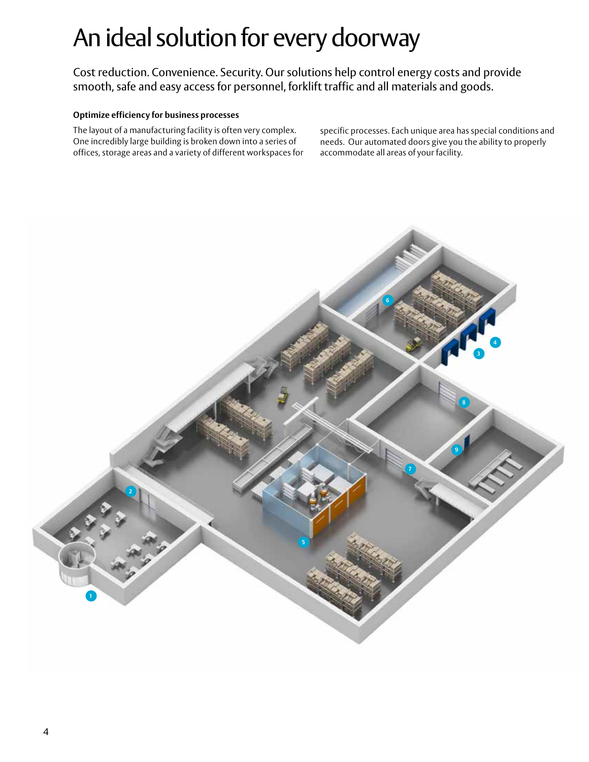## An ideal solution for every doorway

Cost reduction. Convenience. Security. Our solutions help control energy costs and provide smooth, safe and easy access for personnel, forklift traffic and all materials and goods.

#### **Optimize efficiency for business processes**

The layout of a manufacturing facility is often very complex. One incredibly large building is broken down into a series of offices, storage areas and a variety of different workspaces for specific processes. Each unique area has special conditions and needs. Our automated doors give you the ability to properly accommodate all areas of your facility.

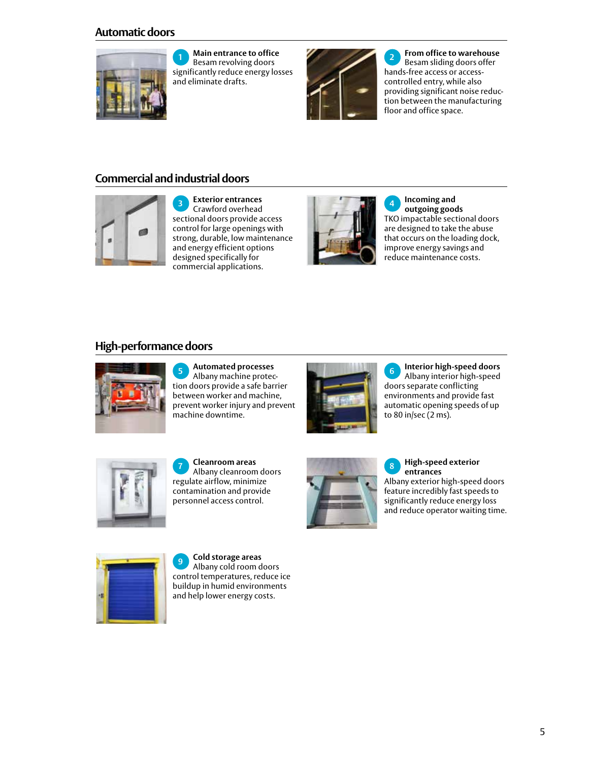### **Automatic doors**



**<sup>1</sup> Main entrance to office** Besam revolving doors significantly reduce energy losses and eliminate drafts.



**<sup>2</sup> From office to warehouse** Besam sliding doors offer hands-free access or accesscontrolled entry, while also providing significant noise reduction between the manufacturing floor and office space.

### **Commercial and industrial doors**



**<sup>3</sup> Exterior entrances** Crawford overhead sectional doors provide access control for large openings with strong, durable, low maintenance and energy efficient options designed specifically for commercial applications.



**<sup>4</sup> Incoming and outgoing goods** TKO impactable sectional doors are designed to take the abuse that occurs on the loading dock, improve energy savings and reduce maintenance costs.

#### **High-performance doors**



**<sup>5</sup> Automated processes** Albany machine protection doors provide a safe barrier between worker and machine, prevent worker injury and prevent machine downtime.



**<sup>6</sup> Interior high-speed doors** Albany interior high-speed doors separate conflicting environments and provide fast automatic opening speeds of up to 80 in/sec (2 ms).



**<sup>7</sup> Cleanroom areas** Albany cleanroom doors regulate airflow, minimize contamination and provide personnel access control.



**<sup>8</sup> High-speed exterior entrances** Albany exterior high-speed doors feature incredibly fast speeds to significantly reduce energy loss and reduce operator waiting time.



**<sup>9</sup> Cold storage areas** Albany cold room doors control temperatures, reduce ice buildup in humid environments and help lower energy costs.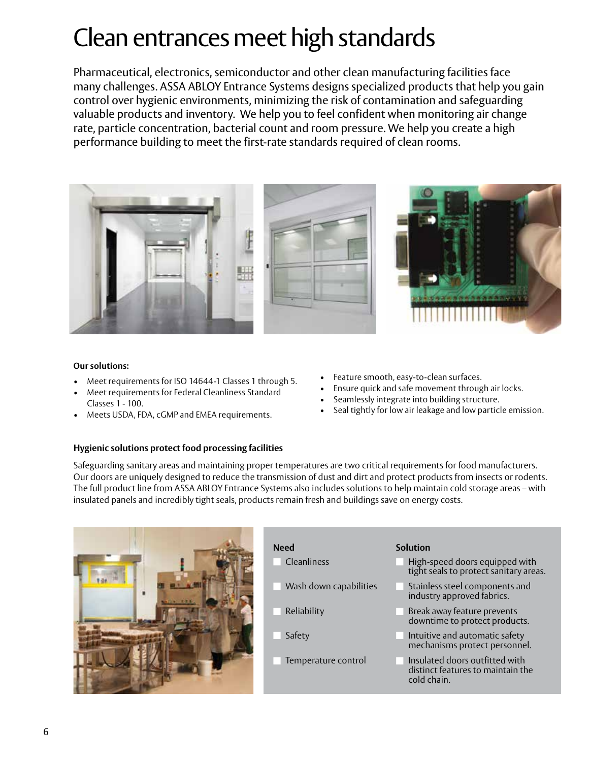## Clean entrances meet high standards

Pharmaceutical, electronics, semiconductor and other clean manufacturing facilities face many challenges. ASSA ABLOY Entrance Systems designs specialized products that help you gain control over hygienic environments, minimizing the risk of contamination and safeguarding valuable products and inventory. We help you to feel confident when monitoring air change rate, particle concentration, bacterial count and room pressure. We help you create a high performance building to meet the first-rate standards required of clean rooms.



#### **Our solutions:**

- Meet requirements for ISO 14644-1 Classes 1 through 5.
- Meet requirements for Federal Cleanliness Standard Classes 1 - 100.
- Meets USDA, FDA, cGMP and EMEA requirements.
- Feature smooth, easy-to-clean surfaces.
- Ensure quick and safe movement through air locks.
- Seamlessly integrate into building structure.
- Seal tightly for low air leakage and low particle emission.

#### **Hygienic solutions protect food processing facilities**

Safeguarding sanitary areas and maintaining proper temperatures are two critical requirements for food manufacturers. Our doors are uniquely designed to reduce the transmission of dust and dirt and protect products from insects or rodents. The full product line from ASSA ABLOY Entrance Systems also includes solutions to help maintain cold storage areas – with insulated panels and incredibly tight seals, products remain fresh and buildings save on energy costs.



- n Cleanliness **natural and the Cleanliness**
- **Wash down capabilities**
- **Reliability No. 1986**
- Safety n n
- n Temperature control

#### **Need Solution**

- High-speed doors equipped with tight seals to protect sanitary areas.
- Stainless steel components and industry approved fabrics.
- Break away feature prevents downtime to protect products.
- Intuitive and automatic safety mechanisms protect personnel.
- Insulated doors outfitted with distinct features to maintain the cold chain.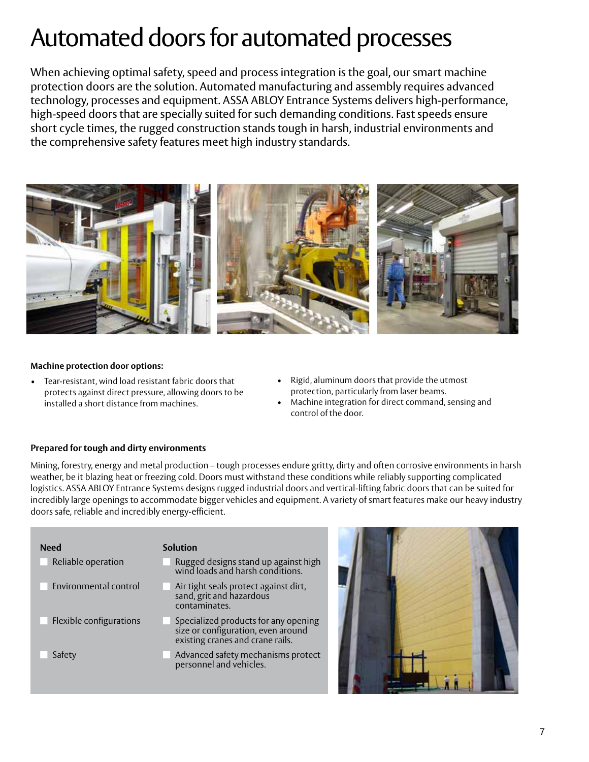### Automated doors for automated processes

When achieving optimal safety, speed and process integration is the goal, our smart machine protection doors are the solution. Automated manufacturing and assembly requires advanced technology, processes and equipment. ASSA ABLOY Entrance Systems delivers high-performance, high-speed doors that are specially suited for such demanding conditions. Fast speeds ensure short cycle times, the rugged construction stands tough in harsh, industrial environments and the comprehensive safety features meet high industry standards.



#### **Machine protection door options:**

- Tear-resistant, wind load resistant fabric doors that protects against direct pressure, allowing doors to be installed a short distance from machines.
- Rigid, aluminum doors that provide the utmost protection, particularly from laser beams.
- Machine integration for direct command, sensing and control of the door.

#### **Prepared for tough and dirty environments**

Mining, forestry, energy and metal production – tough processes endure gritty, dirty and often corrosive environments in harsh weather, be it blazing heat or freezing cold. Doors must withstand these conditions while reliably supporting complicated logistics. ASSA ABLOY Entrance Systems designs rugged industrial doors and vertical-lifting fabric doors that can be suited for incredibly large openings to accommodate bigger vehicles and equipment. A variety of smart features make our heavy industry doors safe, reliable and incredibly energy-efficient.

| <b>Need</b>             | Solution                                                                                                       |  |
|-------------------------|----------------------------------------------------------------------------------------------------------------|--|
| Reliable operation      | Rugged designs stand up against high<br>wind loads and harsh conditions.                                       |  |
| Environmental control   | Air tight seals protect against dirt,<br>sand, grit and hazardous<br>contaminates.                             |  |
| Flexible configurations | Specialized products for any opening<br>size or configuration, even around<br>existing cranes and crane rails. |  |
| Safety                  | Advanced safety mechanisms protect<br>personnel and vehicles.                                                  |  |

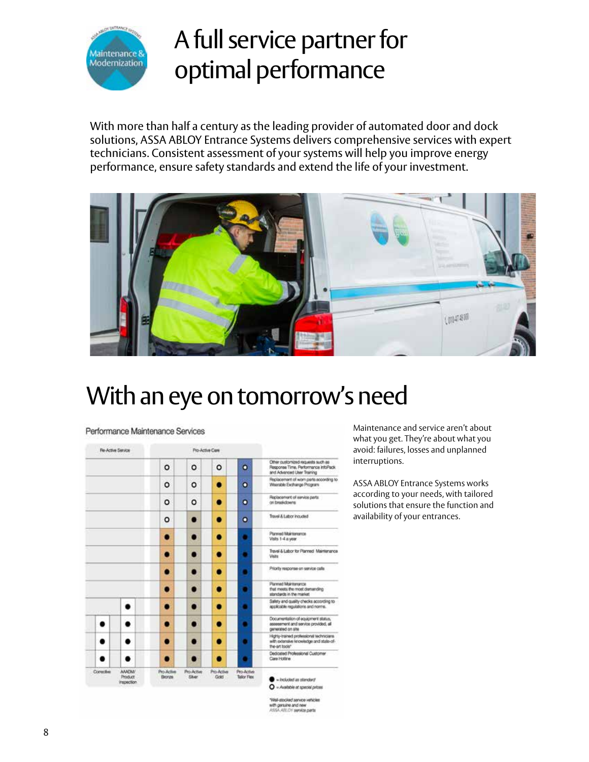

### A full service partner for optimal performance

With more than half a century as the leading provider of automated door and dock solutions, ASSA ABLOY Entrance Systems delivers comprehensive services with expert technicians. Consistent assessment of your systems will help you improve energy performance, ensure safety standards and extend the life of your investment.



### With an eye on tomorrow's need

#### **Re-Active Service** Pro-Active Care Other customized requests such as<br>Response Time, Performance infoRack<br>and Advanced User Training  $\circ$  $\circ$  $\circ$  $\circ$ Replacement of worn parts acco<br>Wearsble Exchange Program ۰  $\circ$  $\bullet$  $\bullet$ Replacement of service parts<br>on breakdowns o ۰  $\circ$  $\bullet$ Travel & Labor Incuded o o  $\bullet$  $\bullet$ Panned Muintenance<br>Valts 1-4 a year  $\bullet$  $\bullet$  $\bullet$ -<br>Travel & Labor for Planned Maintenance<br>Veita  $\bullet$  $\bullet$  $\bullet$ Priority response on service calls  $\bullet$  $\bullet$  $\bullet$ Planned Maintenance<br>that meets the most demanding<br>standards in the market  $\bullet$  $\bullet$ ٠ Safety and quality checks according to<br>applicable regulations and norms. ٠  $\bullet$ O  $\bullet$ Documentation of equipment status,<br>assessment and service provided, all<br>generated on site ٠ ۰  $\bullet$ ٠ . Highty-trained professional technicians<br>with axlansive knowledge and state-of-٠ ٠  $\bullet$ .  $\bullet$ the-art tools" Dedicated Professional Customer<br>Care Hotline ٠ ٠  $\bullet$  $\bullet$  $\bullet$ Coroch AMOM Pro Active Pro Active<br>Sher Pro-Active<br>Gold Pro-Active<br>Talker Flex · included an standard O - Available at special prices

Performance Maintenance Services

Maintenance and service aren't about what you get. They're about what you avoid: failures, losses and unplanned interruptions.

ASSA ABLOY Entrance Systems works according to your needs, with tailored solutions that ensure the function and availability of your entrances.

1968-stocked service vehicles with genuine and new<br>ASSA ABLOY service parts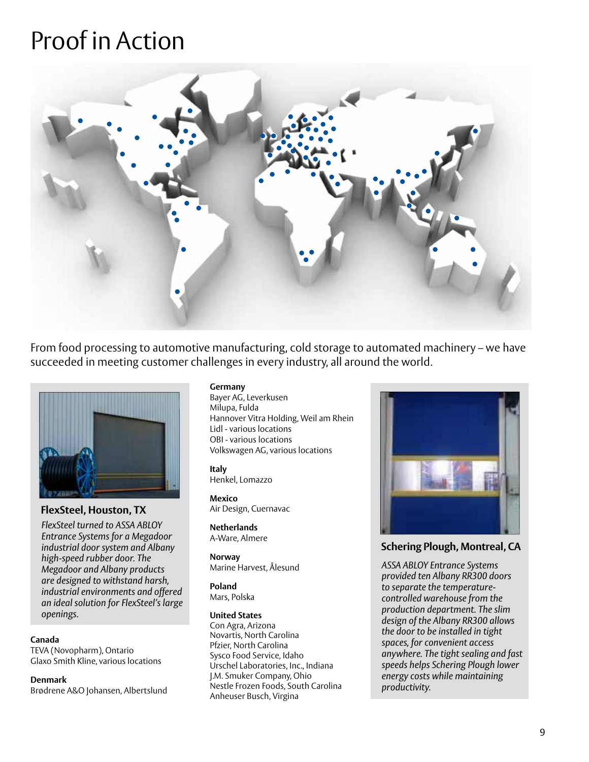### Proof in Action



From food processing to automotive manufacturing, cold storage to automated machinery – we have succeeded in meeting customer challenges in every industry, all around the world.



#### **FlexSteel, Houston, TX**

*FlexSteel turned to ASSA ABLOY Entrance Systems for a Megadoor industrial door system and Albany high-speed rubber door. The Megadoor and Albany products are designed to withstand harsh, industrial environments and offered an ideal solution for FlexSteel's large openings.* 

#### **Canada**

TEVA (Novopharm), Ontario Glaxo Smith Kline, various locations

**Denmark**

Brødrene A&O Johansen, Albertslund

#### **Germany**

Bayer AG, Leverkusen Milupa, Fulda Hannover Vitra Holding, Weil am Rhein Lidl - various locations OBI - various locations Volkswagen AG, various locations

**Italy** Henkel, Lomazzo

**Mexico** Air Design, Cuernavac

**Netherlands** A-Ware, Almere

**Norway** Marine Harvest, Ålesund

**Poland** Mars, Polska

#### **United States**

Con Agra, Arizona Novartis, North Carolina Pfzier, North Carolina Sysco Food Service, Idaho Urschel Laboratories, Inc., Indiana J.M. Smuker Company, Ohio Nestle Frozen Foods, South Carolina Anheuser Busch, Virgina



#### **Schering Plough, Montreal, CA**

*ASSA ABLOY Entrance Systems provided ten Albany RR300 doors to separate the temperaturecontrolled warehouse from the production department. The slim design of the Albany RR300 allows the door to be installed in tight spaces, for convenient access anywhere. The tight sealing and fast speeds helps Schering Plough lower energy costs while maintaining productivity.*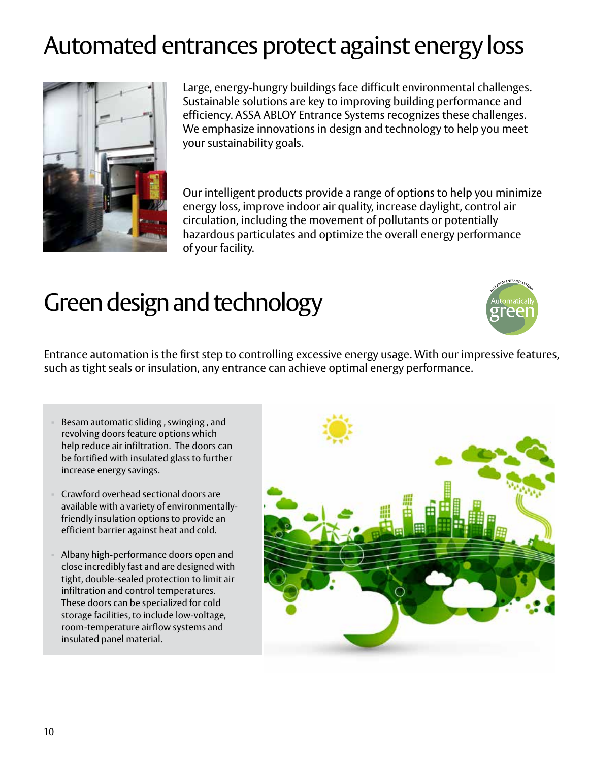## Automated entrances protect against energy loss



Large, energy-hungry buildings face difficult environmental challenges. Sustainable solutions are key to improving building performance and efficiency. ASSA ABLOY Entrance Systems recognizes these challenges. We emphasize innovations in design and technology to help you meet your sustainability goals.

Our intelligent products provide a range of options to help you minimize energy loss, improve indoor air quality, increase daylight, control air circulation, including the movement of pollutants or potentially hazardous particulates and optimize the overall energy performance of your facility.

### Green design and technology



Entrance automation is the first step to controlling excessive energy usage. With our impressive features, such as tight seals or insulation, any entrance can achieve optimal energy performance.

- Besam automatic sliding , swinging , and revolving doors feature options which help reduce air infiltration. The doors can be fortified with insulated glass to further increase energy savings.
- Crawford overhead sectional doors are available with a variety of environmentallyfriendly insulation options to provide an efficient barrier against heat and cold.
- Albany high-performance doors open and close incredibly fast and are designed with tight, double-sealed protection to limit air infiltration and control temperatures. These doors can be specialized for cold storage facilities, to include low-voltage, room-temperature airflow systems and insulated panel material.

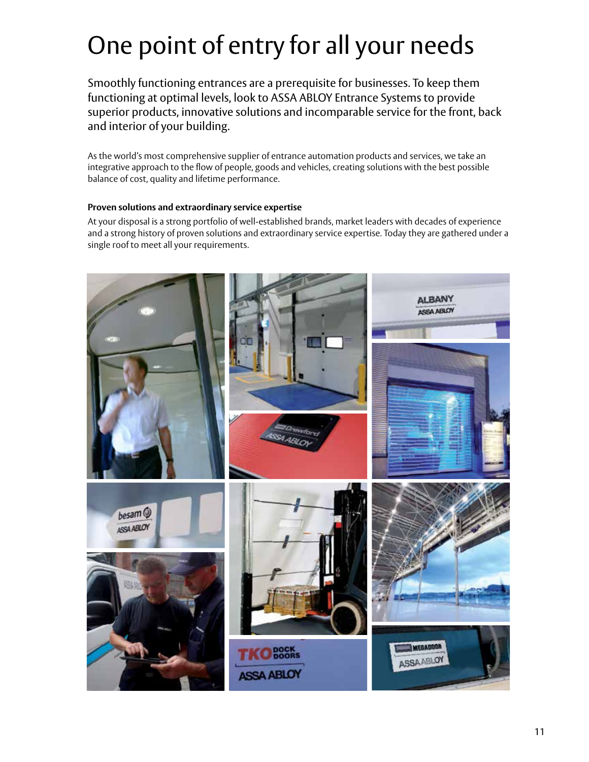# One point of entry for all your needs

Smoothly functioning entrances are a prerequisite for businesses. To keep them functioning at optimal levels, look to ASSA ABLOY Entrance Systems to provide superior products, innovative solutions and incomparable service for the front, back and interior of your building.

As the world's most comprehensive supplier of entrance automation products and services, we take an integrative approach to the flow of people, goods and vehicles, creating solutions with the best possible balance of cost, quality and lifetime performance.

#### **Proven solutions and extraordinary service expertise**

At your disposal is a strong portfolio of well-established brands, market leaders with decades of experience and a strong history of proven solutions and extraordinary service expertise. Today they are gathered under a single roof to meet all your requirements.